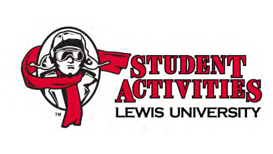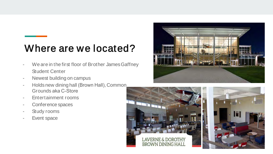### Where are we located?

- We are in the first floor of Brother James Gaffney Student Center
- Newest building on campus
- Holds new dining hall (Brown Hall), Common Grounds aka C-Store
- Entertainment rooms
- Conference spaces
- Study rooms
- Event space



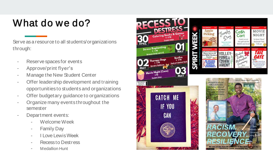## What do we do?

Serve as a resource to all students/organizations through:

- Reserve spaces for events
- Approve/print flyer's
- Manage the New Student Center
- Offer leadership development and training opportunities to students and organizations
- Offer budgetary guidance to organizations
- Organize many events throughout the semester
- Department events:
	- Welcome Week
	- Family Day
	- I Love LewisWeek
	- Recess to Destress
	- Medallion Hunt

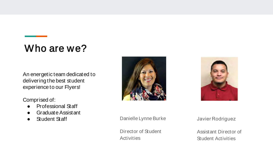# Who are we?

An energetic team dedicated to delivering the best student experience to our Flyers!

#### Comprised of:

- Professional Staff
- Graduate Assistant
- Student Staff





Danielle Lynne Burke

Director of Student **Activities** 

Javier Rodriguez

Assistant Director of Student Activities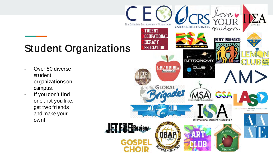### Student Organizations

- Over 80 diverse student organizations on campus.
- If you don't find one that you like, get two friends and make your own!

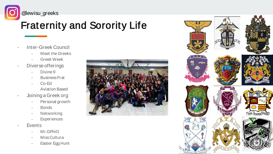

@lewisu\_greeks

# Fraternity and Sorority Life

- Inter-Greek Council
	- Meet the Greeks
	- Greek Week
- Diverse offerings
	- Divine 9
	- Business Frat
	- Co-Ed Aviation Based
- Joining a Greek org
	- Personal growth
	- Bonds
	- Networking
	- **Experiences**
- Events
	- Mr.GPhiO
	- Miss Cultura
	- Easter Egg Hunt



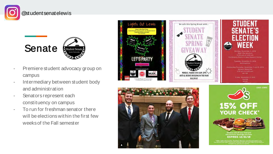#### @studentsenatelewis





- Premiere student advocacy group on campus
- Intermediary between student body and administration
- Senators represent each constituency on campus
- To run for freshman senator there will be elections within the first few weeks of the Fall semester





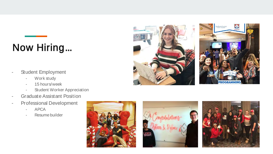## Now Hiring...

- Student Employment
	- Work study
	- 15 hours/week
	- Student Worker Appreciation
- Graduate Assistant Position
- Professional Development
	- APCA
	- Resume builder